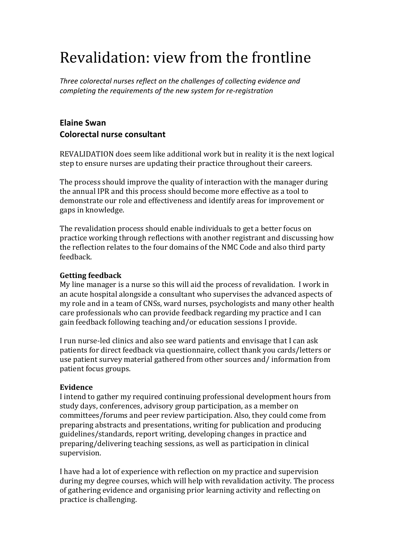# Revalidation: view from the frontline

*Three colorectal nurses reflect on the challenges of collecting evidence and completing the requirements of the new system for re-registration* 

# **Elaine'Swan Colorectal'nurse'consultant**

REVALIDATION does seem, like additional work but in reality it is the next logical step to ensure nurses are updating their practice throughout their careers.

The process should improve the quality of interaction with the manager during the annual IPR and this process should become more effective as a tool to demonstrate our role and effectiveness and identify areas for improvement or gaps in knowledge.

The revalidation process should enable individuals to get a better focus on practice working through reflections with another registrant and discussing how the,reflection,relates,to,the,four,domains of the,NMC Code and also,third party feedback.

# **Getting!feedback**

My line manager is a nurse so this will aid the process of revalidation. I work in an acute hospital alongside a consultant who supervises the advanced aspects of my role, and in a team of CNSs, ward nurses, psychologists and many other health care professionals, who can provide feedback regarding my practice and I can gain feedback following teaching and/or education sessions I provide.

I run nurse-led clinics and also see ward patients and envisage that I can ask patients for direct feedback via questionnaire, collect thank you cards/letters or use patient survey material gathered from other sources and/information from patient focus groups.

# **Evidence**

I, intend to gather, my required, continuing, professional, development, hours, from study days, conferences, advisory group participation, as a member on committees/forums and peer review participation. Also, they could come from preparing abstracts and presentations, writing for publication and producing guidelines/standards, report writing, developing changes in practice and preparing/delivering teaching sessions, as well as participation in clinical supervision.

I have had a lot of experience with reflection on my practice and supervision during my degree courses, which will help with revalidation activity. The process of gathering evidence and organising prior learning activity and reflecting on practice is challenging.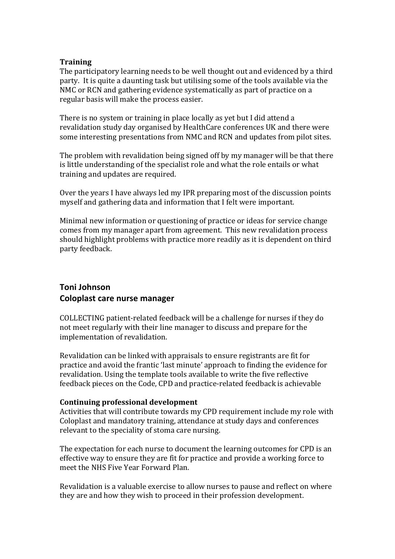## **Training**

The participatory learning needs to be well thought out and evidenced by a third party. It is quite a daunting task but utilising some of the tools available via the NMC or,RCN and gathering evidence systematically as part of practice on a regular basis will make the process easier.

There is no system or training in place locally as yet but I did attend a revalidation study,day,organised,by,HealthCare,conferences,UK and there were some interesting presentations from NMC and RCN and updates from pilot sites.

The problem with revalidation being signed off by my manager will be that there is, little, understanding of the specialist role and what the role entails or what training and updates are required.

Over, the years I have always, led my IPR preparing most of the discussion points myself and gathering data and information that I felt were important.

Minimal new information or questioning of practice or ideas for service change comes from, my manager apart from agreement. This new revalidation process should highlight problems with practice more readily as it is dependent on third party feedback.

# **Toni'Johnson Coloplast'care'nurse'manager'**

COLLECTING patient-related feedback will be a challenge for nurses if they do not,meet,regularly, with their line manager to discuss and prepare for the implementation of revalidation.

Revalidation can be linked with appraisals to ensure registrants are fit for practice and avoid the frantic 'last minute' approach to finding the evidence for revalidation. Using the template tools available to write the five reflective feedback pieces on the Code, CPD and practice-related feedback is achievable

#### **Continuing!professional!development**

Activities, that will contribute towards my CPD requirement include my role with Coloplast and mandatory training, attendance at study days and conferences relevant to the speciality of stoma care nursing.

The expectation for each nurse to document the learning outcomes for CPD is an effective, way to ensure they are fit for practice and provide a working force to meet the NHS Five Year Forward Plan.

Revalidation is a valuable exercise to allow nurses to pause and reflect on where they are and how they wish to proceed in their profession development.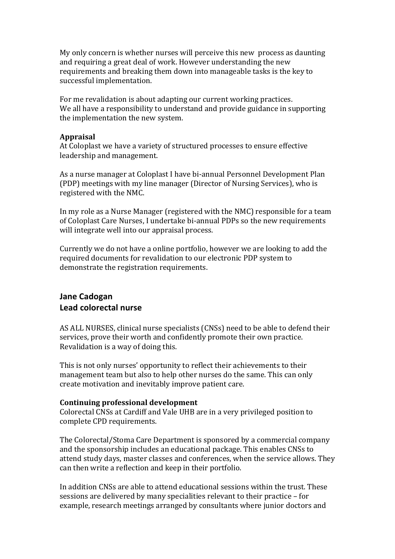My only concern is whether nurses will perceive this new, process as daunting and requiring a great deal of work. However understanding the new requirements and breaking them down into manageable tasks is the key to successful implementation.

For, me, revalidation is, about, adapting, our, current, working, practices. We all have a responsibility to understand and provide guidance in supporting the implementation the new system.

#### **Appraisal**

At Coloplast we, have a variety of structured processes to ensure effective leadership and management.

As a nurse manager at Coloplast I have bi-annual Personnel Development Plan (PDP) meetings with my line manager (Director of Nursing Services), who is registered with the NMC.

In, my, role, as a Nurse Manager (registered, with the NMC) responsible for a team of Coloplast Care Nurses, I undertake bi-annual PDPs so the new requirements will integrate well into our appraisal process.

Currently, we, do, not have, a online, portfolio, however, we, are, looking, to, add, the required documents for revalidation to our electronic PDP system to demonstrate the registration requirements.

# **Jane'Cadogan' Lead'colorectal'nurse'**

AS, ALL, NURSES, clinical nurse specialists (CNSs) need to be able to defend their services, prove their worth and confidently promote their own practice. Revalidation is a way of doing this.

This is not only nurses' opportunity to reflect their achievements to their management team but also to help other nurses do the same. This can only create motivation and inevitably improve patient care.

#### **Continuing!professional!development**

Colorectal CNSs at Cardiff and Vale UHB are in a very privileged position to complete CPD requirements.

The,Colorectal/Stoma,Care,Department is, sponsored, by a commercial company and the sponsorship includes an educational package. This enables CNSs to attend study days, master classes and conferences, when the service allows. They can then write a reflection and keep in their portfolio.

In addition,CNSs are,able, to,attend,educational sessions, within, the,trust. These sessions are delivered by many specialities relevant to their practice – for example, research meetings arranged by consultants where junior doctors and